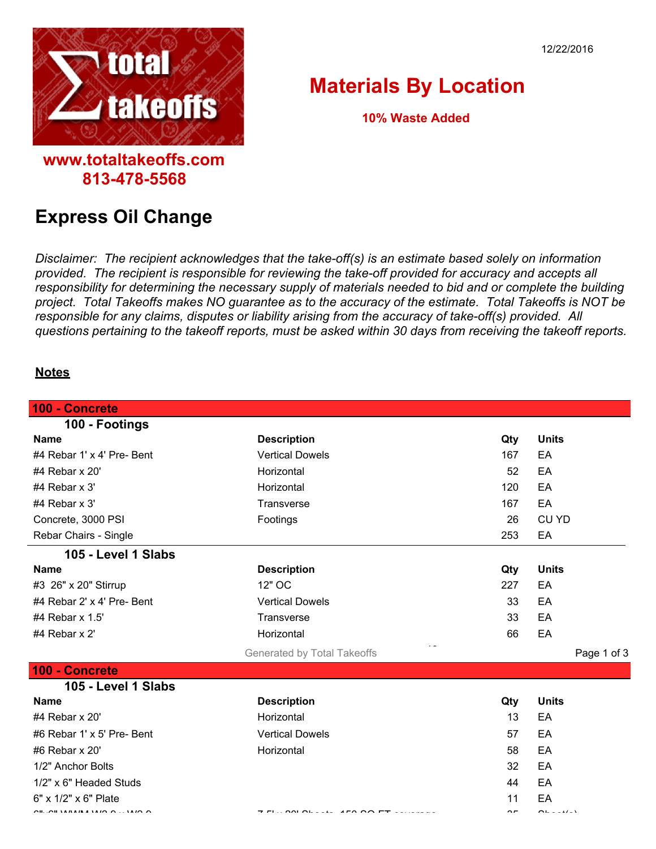



## **Materials By Location**

**10% Waste Added**

## **Express Oil Change**

**813-478-5568**

*Disclaimer: The recipient acknowledges that the take-off(s) is an estimate based solely on information provided. The recipient is responsible for reviewing the take-off provided for accuracy and accepts all responsibility for determining the necessary supply of materials needed to bid and or complete the building project. Total Takeoffs makes NO guarantee as to the accuracy of the estimate. Total Takeoffs is NOT be responsible for any claims, disputes or liability arising from the accuracy of take-off(s) provided. All questions pertaining to the takeoff reports, must be asked within 30 days from receiving the takeoff reports.*

## **Notes**

| 100 - Concrete                                                                                                                                                                                                                                                                                                                                                                       |                             |            |              |
|--------------------------------------------------------------------------------------------------------------------------------------------------------------------------------------------------------------------------------------------------------------------------------------------------------------------------------------------------------------------------------------|-----------------------------|------------|--------------|
| 100 - Footings                                                                                                                                                                                                                                                                                                                                                                       |                             |            |              |
| <b>Name</b>                                                                                                                                                                                                                                                                                                                                                                          | <b>Description</b>          | Qty        | <b>Units</b> |
| #4 Rebar 1' x 4' Pre- Bent                                                                                                                                                                                                                                                                                                                                                           | <b>Vertical Dowels</b>      | 167        | EA           |
| #4 Rebar x 20'                                                                                                                                                                                                                                                                                                                                                                       | Horizontal                  | 52         | EA           |
| #4 Rebar $x$ 3'                                                                                                                                                                                                                                                                                                                                                                      | Horizontal                  | 120        | EA           |
| #4 Rebar x 3'                                                                                                                                                                                                                                                                                                                                                                        | Transverse                  | 167        | EA           |
| Concrete, 3000 PSI                                                                                                                                                                                                                                                                                                                                                                   | Footings                    | 26         | <b>CU YD</b> |
| Rebar Chairs - Single                                                                                                                                                                                                                                                                                                                                                                |                             | 253        | EA           |
| 105 - Level 1 Slabs                                                                                                                                                                                                                                                                                                                                                                  |                             |            |              |
| <b>Name</b>                                                                                                                                                                                                                                                                                                                                                                          | <b>Description</b>          | Qty        | <b>Units</b> |
| #3 26" x 20" Stirrup                                                                                                                                                                                                                                                                                                                                                                 | 12" OC                      | 227        | EA           |
| #4 Rebar 2' x 4' Pre- Bent                                                                                                                                                                                                                                                                                                                                                           | <b>Vertical Dowels</b>      | 33         | EA           |
| #4 Rebar $\times$ 1.5'                                                                                                                                                                                                                                                                                                                                                               | Transverse                  | 33         | EA           |
| #4 Rebar x 2'                                                                                                                                                                                                                                                                                                                                                                        | Horizontal                  | 66         | EA           |
|                                                                                                                                                                                                                                                                                                                                                                                      | Generated by Total Takeoffs |            | Page 1 of 3  |
| 100 - Concrete                                                                                                                                                                                                                                                                                                                                                                       |                             |            |              |
| 105 - Level 1 Slabs                                                                                                                                                                                                                                                                                                                                                                  |                             |            |              |
| <b>Name</b>                                                                                                                                                                                                                                                                                                                                                                          | <b>Description</b>          | Qty        | <b>Units</b> |
| #4 Rebar x 20'                                                                                                                                                                                                                                                                                                                                                                       | Horizontal                  | 13         | EA           |
| #6 Rebar 1' x 5' Pre- Bent                                                                                                                                                                                                                                                                                                                                                           | <b>Vertical Dowels</b>      | 57         | EA           |
| #6 Rebar x 20'                                                                                                                                                                                                                                                                                                                                                                       | Horizontal                  | 58         | EA           |
| 1/2" Anchor Bolts                                                                                                                                                                                                                                                                                                                                                                    |                             | 32         | EA           |
| 1/2" x 6" Headed Studs                                                                                                                                                                                                                                                                                                                                                               |                             | 44         | EA           |
| 6" x 1/2" x 6" Plate                                                                                                                                                                                                                                                                                                                                                                 |                             | 11         | EA           |
| $\overline{a}$ $\overline{a}$ $\overline{a}$ $\overline{a}$ $\overline{a}$ $\overline{a}$ $\overline{a}$ $\overline{a}$ $\overline{a}$ $\overline{a}$ $\overline{a}$ $\overline{a}$ $\overline{a}$ $\overline{a}$ $\overline{a}$ $\overline{a}$ $\overline{a}$ $\overline{a}$ $\overline{a}$ $\overline{a}$ $\overline{a}$ $\overline{a}$ $\overline{a}$ $\overline{a}$ $\overline{$ | $\sim$                      | $\sim$ $-$ | $\sim$       |